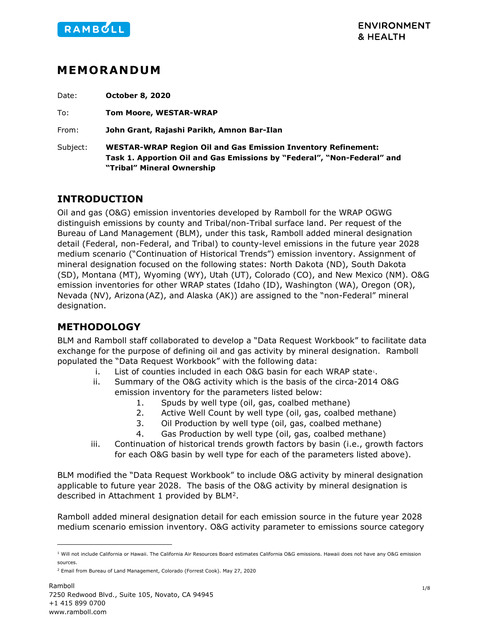

## **MEMORANDUM**

Date: **October 8, 2020**

To: **Tom Moore, WESTAR-WRAP**

From: **John Grant, Rajashi Parikh, Amnon Bar-Ilan**

Subject: **WESTAR-WRAP Region Oil and Gas Emission Inventory Refinement: Task 1. Apportion Oil and Gas Emissions by "Federal", "Non-Federal" and "Tribal" Mineral Ownership**

### **INTRODUCTION**

Oil and gas (O&G) emission inventories developed by Ramboll for the WRAP OGWG distinguish emissions by county and Tribal/non-Tribal surface land. Per request of the Bureau of Land Management (BLM), under this task, Ramboll added mineral designation detail (Federal, non-Federal, and Tribal) to county-level emissions in the future year 2028 medium scenario ("Continuation of Historical Trends") emission inventory. Assignment of mineral designation focused on the following states: North Dakota (ND), South Dakota (SD), Montana (MT), Wyoming (WY), Utah (UT), Colorado (CO), and New Mexico (NM). O&G emission inventories for other WRAP states (Idaho (ID), Washington (WA), Oregon (OR), Nevada (NV), Arizona(AZ), and Alaska (AK)) are assigned to the "non-Federal" mineral designation.

### **METHODOLOGY**

BLM and Ramboll staff collaborated to develop a "Data Request Workbook" to facilitate data exchange for the purpose of defining oil and gas activity by mineral designation. Ramboll populated the "Data Request Workbook" with the following data:

- i. List of counties included in each O&G basin for each WRAP state:
- ii. Summary of the O&G activity which is the basis of the circa-2014 O&G emission inventory for the parameters listed below:
	- 1. Spuds by well type (oil, gas, coalbed methane)
	- 2. Active Well Count by well type (oil, gas, coalbed methane)
	- 3. Oil Production by well type (oil, gas, coalbed methane)
	- 4. Gas Production by well type (oil, gas, coalbed methane)
- iii. Continuation of historical trends growth factors by basin (i.e., growth factors for each O&G basin by well type for each of the parameters listed above).

BLM modified the "Data Request Workbook" to include O&G activity by mineral designation applicable to future year 2028. The basis of the O&G activity by mineral designation is described in Attachment 1 provided by BLM[2](#page-0-1).

Ramboll added mineral designation detail for each emission source in the future year 2028 medium scenario emission inventory. O&G activity parameter to emissions source category

<span id="page-0-0"></span> $1$  Will not include California or Hawaii. The California Air Resources Board estimates California O&G emissions. Hawaii does not have any O&G emission sources.

<span id="page-0-1"></span><sup>2</sup> Email from Bureau of Land Management, Colorado (Forrest Cook). May 27, 2020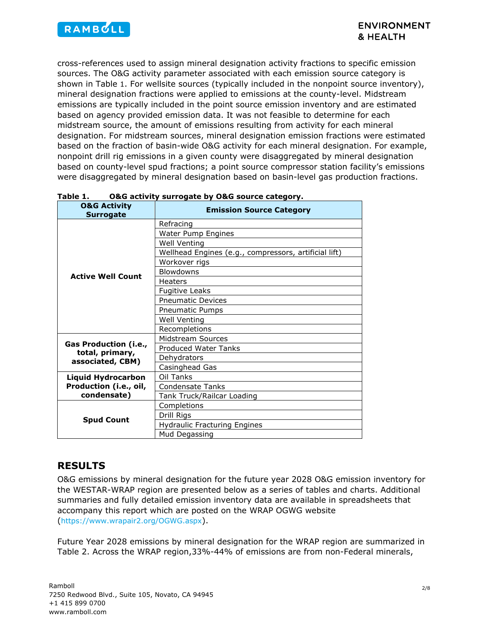

cross-references used to assign mineral designation activity fractions to specific emission sources. The O&G activity parameter associated with each emission source category is shown in [Table](#page-1-0) 1. For wellsite sources (typically included in the nonpoint source inventory), mineral designation fractions were applied to emissions at the county-level. Midstream emissions are typically included in the point source emission inventory and are estimated based on agency provided emission data. It was not feasible to determine for each midstream source, the amount of emissions resulting from activity for each mineral designation. For midstream sources, mineral designation emission fractions were estimated based on the fraction of basin-wide O&G activity for each mineral designation. For example, nonpoint drill rig emissions in a given county were disaggregated by mineral designation based on county-level spud fractions; a point source compressor station facility's emissions were disaggregated by mineral designation based on basin-level gas production fractions.

| <b>O&amp;G Activity</b><br><b>Surrogate</b>                        | <b>Emission Source Category</b>                       |  |  |
|--------------------------------------------------------------------|-------------------------------------------------------|--|--|
| <b>Active Well Count</b>                                           | Refracing                                             |  |  |
|                                                                    | Water Pump Engines                                    |  |  |
|                                                                    | Well Venting                                          |  |  |
|                                                                    | Wellhead Engines (e.g., compressors, artificial lift) |  |  |
|                                                                    | Workover rigs                                         |  |  |
|                                                                    | <b>Blowdowns</b>                                      |  |  |
|                                                                    | Heaters                                               |  |  |
|                                                                    | <b>Fugitive Leaks</b>                                 |  |  |
|                                                                    | <b>Pneumatic Devices</b>                              |  |  |
|                                                                    | Pneumatic Pumps                                       |  |  |
|                                                                    | Well Venting                                          |  |  |
|                                                                    | Recompletions                                         |  |  |
|                                                                    | Midstream Sources                                     |  |  |
| <b>Gas Production (i.e.,</b><br>total, primary,                    | <b>Produced Water Tanks</b>                           |  |  |
| associated, CBM)                                                   | Dehydrators                                           |  |  |
|                                                                    | Casinghead Gas                                        |  |  |
| <b>Liquid Hydrocarbon</b><br>Production (i.e., oil,<br>condensate) | Oil Tanks                                             |  |  |
|                                                                    | Condensate Tanks                                      |  |  |
|                                                                    | Tank Truck/Railcar Loading                            |  |  |
| <b>Spud Count</b>                                                  | Completions                                           |  |  |
|                                                                    | Drill Rigs                                            |  |  |
|                                                                    | <b>Hydraulic Fracturing Engines</b>                   |  |  |
|                                                                    | Mud Degassing                                         |  |  |

### <span id="page-1-0"></span>**Table 1. O&G activity surrogate by O&G source category.**

### **RESULTS**

O&G emissions by mineral designation for the future year 2028 O&G emission inventory for the WESTAR-WRAP region are presented below as a series of tables and charts. Additional summaries and fully detailed emission inventory data are available in spreadsheets that accompany this report which are posted on the WRAP OGWG website [\(https://www.wrapair2.org/OGWG.aspx\)](https://www.wrapair2.org/OGWG.aspx).

Future Year 2028 emissions by mineral designation for the WRAP region are summarized in [Table 2.](#page-2-0) Across the WRAP region,33%-44% of emissions are from non-Federal minerals,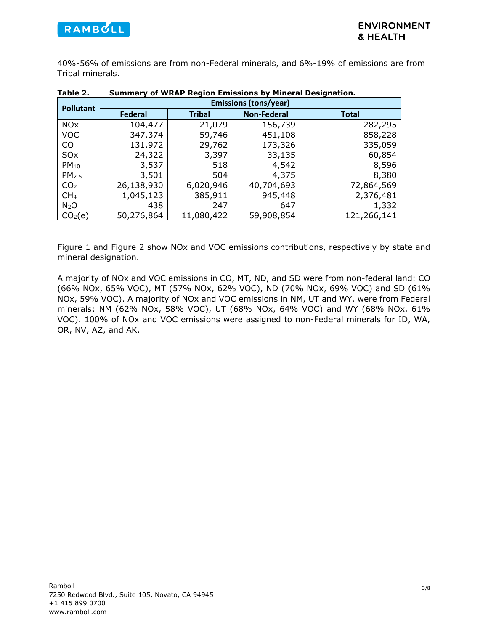

40%-56% of emissions are from non-Federal minerals, and 6%-19% of emissions are from Tribal minerals.

| .                     | <u>sanniwiy yi ffithi ilogiyn Ennssiyns yy Finiciti Besignativin</u> |               |                    |              |  |
|-----------------------|----------------------------------------------------------------------|---------------|--------------------|--------------|--|
| <b>Pollutant</b>      | <b>Emissions (tons/year)</b>                                         |               |                    |              |  |
|                       | <b>Federal</b>                                                       | <b>Tribal</b> | <b>Non-Federal</b> | <b>Total</b> |  |
| <b>NO<sub>x</sub></b> | 104,477                                                              | 21,079        | 156,739            | 282,295      |  |
| <b>VOC</b>            | 347,374                                                              | 59,746        | 451,108            | 858,228      |  |
| CO                    | 131,972                                                              | 29,762        | 173,326            | 335,059      |  |
| SO <sub>x</sub>       | 24,322                                                               | 3,397         | 33,135             | 60,854       |  |
| $PM_{10}$             | 3,537                                                                | 518           | 4,542              | 8,596        |  |
| PM <sub>2.5</sub>     | 3,501                                                                | 504           | 4,375              | 8,380        |  |
| CO <sub>2</sub>       | 26,138,930                                                           | 6,020,946     | 40,704,693         | 72,864,569   |  |
| CH <sub>4</sub>       | 1,045,123                                                            | 385,911       | 945,448            | 2,376,481    |  |
| N <sub>2</sub> O      | 438                                                                  | 247           | 647                | 1,332        |  |
| CO <sub>2</sub> (e)   | 50,276,864                                                           | 11,080,422    | 59,908,854         | 121,266,141  |  |

### <span id="page-2-0"></span>**Table 2. Summary of WRAP Region Emissions by Mineral Designation.**

[Figure 1](#page-3-0) and [Figure 2](#page-3-1) show NOx and VOC emissions contributions, respectively by state and mineral designation.

A majority of NOx and VOC emissions in CO, MT, ND, and SD were from non-federal land: CO (66% NOx, 65% VOC), MT (57% NOx, 62% VOC), ND (70% NOx, 69% VOC) and SD (61% NOx, 59% VOC). A majority of NOx and VOC emissions in NM, UT and WY, were from Federal minerals: NM (62% NOx, 58% VOC), UT (68% NOx, 64% VOC) and WY (68% NOx, 61% VOC). 100% of NOx and VOC emissions were assigned to non-Federal minerals for ID, WA, OR, NV, AZ, and AK.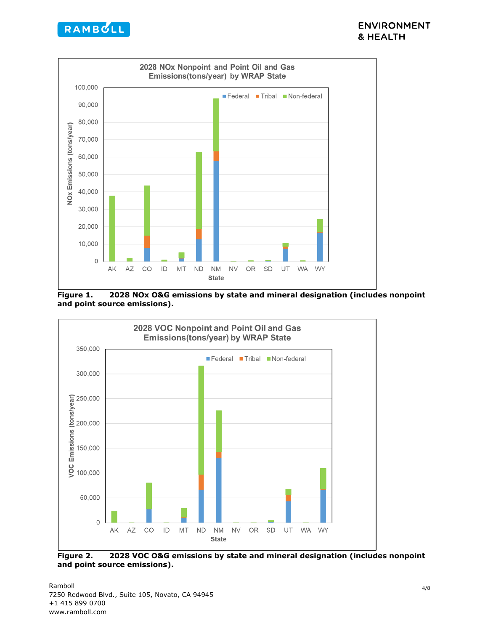



<span id="page-3-0"></span>**Figure 1. 2028 NOx O&G emissions by state and mineral designation (includes nonpoint and point source emissions).** 



<span id="page-3-1"></span>**Figure 2. 2028 VOC O&G emissions by state and mineral designation (includes nonpoint and point source emissions).**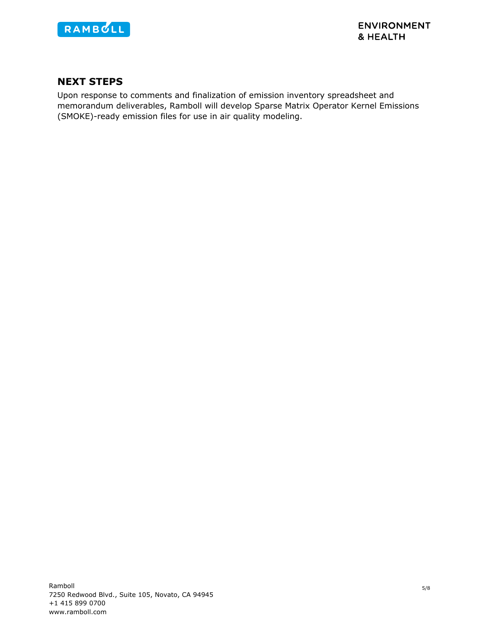

### **NEXT STEPS**

Upon response to comments and finalization of emission inventory spreadsheet and memorandum deliverables, Ramboll will develop Sparse Matrix Operator Kernel Emissions (SMOKE)-ready emission files for use in air quality modeling.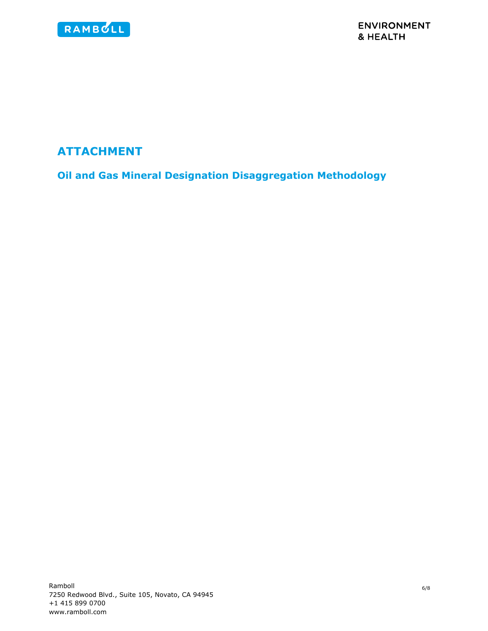

# **ATTACHMENT**

**Oil and Gas Mineral Designation Disaggregation Methodology**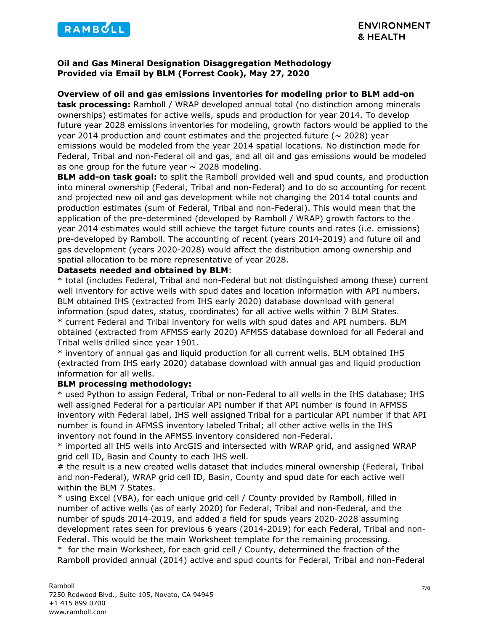

### **Oil and Gas Mineral Designation Disaggregation Methodology Provided via Email by BLM (Forrest Cook), May 27, 2020**

### **Overview of oil and gas emissions inventories for modeling prior to BLM add-on**

**task processing:** Ramboll / WRAP developed annual total (no distinction among minerals ownerships) estimates for active wells, spuds and production for year 2014. To develop future year 2028 emissions inventories for modeling, growth factors would be applied to the year 2014 production and count estimates and the projected future ( $\sim$  2028) year emissions would be modeled from the year 2014 spatial locations. No distinction made for Federal, Tribal and non-Federal oil and gas, and all oil and gas emissions would be modeled as one group for the future year  $\sim$  2028 modeling.

**BLM add-on task goal:** to split the Ramboll provided well and spud counts, and production into mineral ownership (Federal, Tribal and non-Federal) and to do so accounting for recent and projected new oil and gas development while not changing the 2014 total counts and production estimates (sum of Federal, Tribal and non-Federal). This would mean that the application of the pre-determined (developed by Ramboll / WRAP) growth factors to the year 2014 estimates would still achieve the target future counts and rates (i.e. emissions) pre-developed by Ramboll. The accounting of recent (years 2014-2019) and future oil and gas development (years 2020-2028) would affect the distribution among ownership and spatial allocation to be more representative of year 2028.

#### **Datasets needed and obtained by BLM**:

\* total (includes Federal, Tribal and non-Federal but not distinguished among these) current well inventory for active wells with spud dates and location information with API numbers. BLM obtained IHS (extracted from IHS early 2020) database download with general information (spud dates, status, coordinates) for all active wells within 7 BLM States. \* current Federal and Tribal inventory for wells with spud dates and API numbers. BLM obtained (extracted from AFMSS early 2020) AFMSS database download for all Federal and Tribal wells drilled since year 1901.

\* inventory of annual gas and liquid production for all current wells. BLM obtained IHS (extracted from IHS early 2020) database download with annual gas and liquid production information for all wells.

### **BLM processing methodology:**

\* used Python to assign Federal, Tribal or non-Federal to all wells in the IHS database; IHS well assigned Federal for a particular API number if that API number is found in AFMSS inventory with Federal label, IHS well assigned Tribal for a particular API number if that API number is found in AFMSS inventory labeled Tribal; all other active wells in the IHS inventory not found in the AFMSS inventory considered non-Federal.

\* imported all IHS wells into ArcGIS and intersected with WRAP grid, and assigned WRAP grid cell ID, Basin and County to each IHS well.

# the result is a new created wells dataset that includes mineral ownership (Federal, Tribal and non-Federal), WRAP grid cell ID, Basin, County and spud date for each active well within the BLM 7 States.

\* using Excel (VBA), for each unique grid cell / County provided by Ramboll, filled in number of active wells (as of early 2020) for Federal, Tribal and non-Federal, and the number of spuds 2014-2019, and added a field for spuds years 2020-2028 assuming development rates seen for previous 6 years (2014-2019) for each Federal, Tribal and non-Federal. This would be the main Worksheet template for the remaining processing. \* for the main Worksheet, for each grid cell / County, determined the fraction of the

Ramboll provided annual (2014) active and spud counts for Federal, Tribal and non-Federal